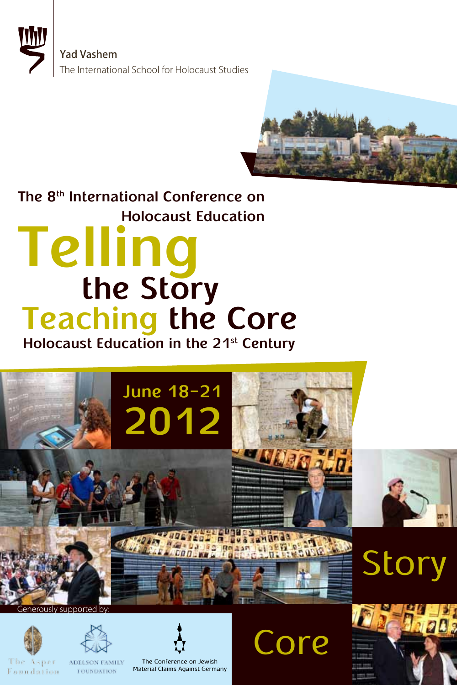



# **Holocaust Education The 8th International Conference on Teaching the Core Telling the Story**

**Holocaust Education in the 21st Century**



Fonndation



ADELSON FAMILY **FOUNDATION** 

The Conference on Jewish Material Claims Against Germany **Core** 

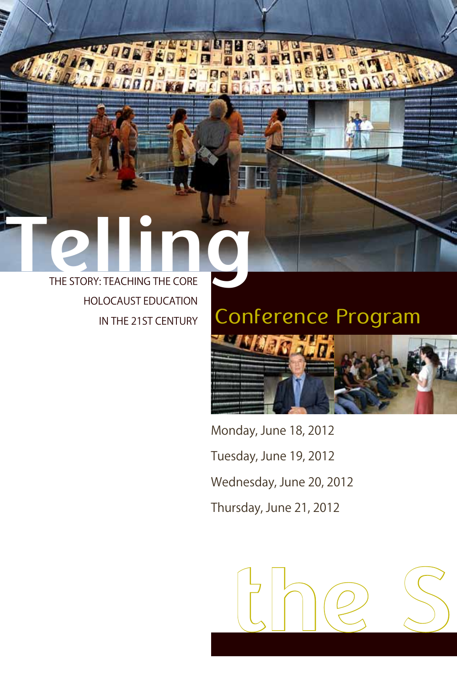# THE STORY: TEACHING THE CORE HOLOCAUST EDUCATION IN THE 21ST CENTURY

ur gr

**ASCOO** 

 $^{\prime\prime}$ 

# Conference Program



Monday, June 18, 2012 Tuesday, June 19, 2012 Wednesday, June 20, 2012 Thursday, June 21, 2012

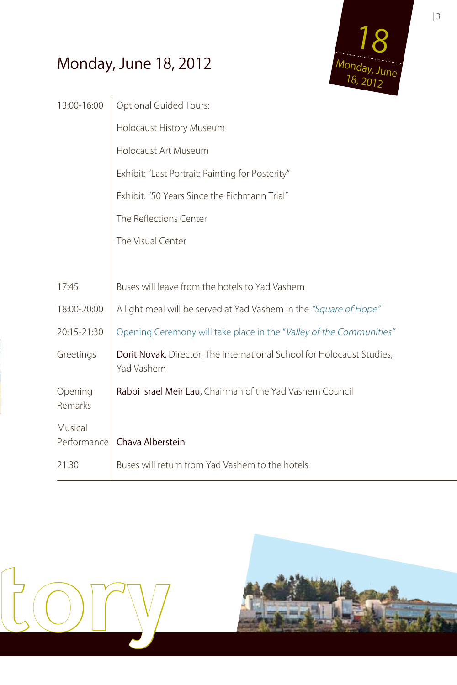## Monday, June 18, 2012



| <b>Optional Guided Tours:</b>                                                        |  |  |
|--------------------------------------------------------------------------------------|--|--|
| Holocaust History Museum                                                             |  |  |
| Holocaust Art Museum                                                                 |  |  |
| Exhibit: "Last Portrait: Painting for Posterity"                                     |  |  |
| Exhibit: "50 Years Since the Eichmann Trial"                                         |  |  |
| The Reflections Center                                                               |  |  |
| The Visual Center                                                                    |  |  |
|                                                                                      |  |  |
| Buses will leave from the hotels to Yad Vashem                                       |  |  |
| A light meal will be served at Yad Vashem in the "Square of Hope"                    |  |  |
| Opening Ceremony will take place in the "Valley of the Communities"                  |  |  |
| Dorit Novak, Director, The International School for Holocaust Studies,<br>Yad Vashem |  |  |
| Rabbi Israel Meir Lau, Chairman of the Yad Vashem Council                            |  |  |
|                                                                                      |  |  |
| Chava Alberstein                                                                     |  |  |
| Buses will return from Yad Vashem to the hotels                                      |  |  |
|                                                                                      |  |  |



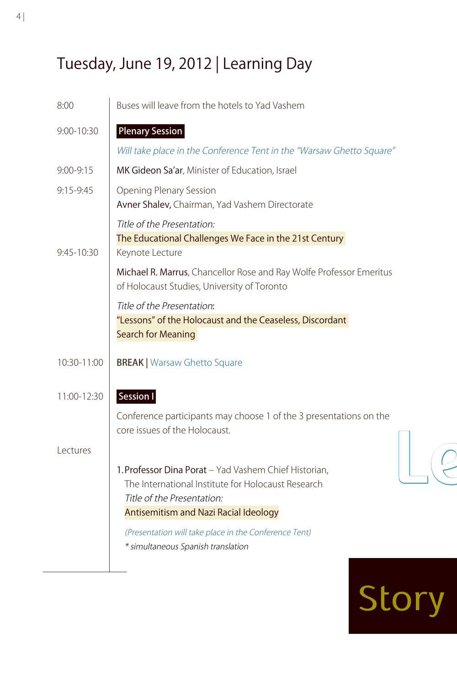## Tuesday, June 19, 2012 | Learning Day

| 8:00          | Buses will leave from the hotels to Yad Vashem                                                                                                                                                                                                                                           |  |
|---------------|------------------------------------------------------------------------------------------------------------------------------------------------------------------------------------------------------------------------------------------------------------------------------------------|--|
| 9:00-10:30    | <b>Plenary Session</b>                                                                                                                                                                                                                                                                   |  |
|               | Will take place in the Conference Tent in the "Warsaw Ghetto Square"                                                                                                                                                                                                                     |  |
| $9:00 - 9:15$ | MK Gideon Sa'ar, Minister of Education, Israel                                                                                                                                                                                                                                           |  |
| 9:15-9:45     | <b>Opening Plenary Session</b><br>Avner Shalev, Chairman, Yad Vashem Directorate                                                                                                                                                                                                         |  |
| 9:45-10:30    | Title of the Presentation:<br>The Educational Challenges We Face in the 21st Century<br>Keynote Lecture                                                                                                                                                                                  |  |
|               | Michael R. Marrus, Chancellor Rose and Ray Wolfe Professor Emeritus<br>of Holocaust Studies, University of Toronto                                                                                                                                                                       |  |
|               | Title of the Presentation:<br>"Lessons" of the Holocaust and the Ceaseless, Discordant<br><b>Search for Meaning</b>                                                                                                                                                                      |  |
| 10:30-11:00   | <b>BREAK   Warsaw Ghetto Square</b>                                                                                                                                                                                                                                                      |  |
| 11:00-12:30   | Session I<br>Conference participants may choose 1 of the 3 presentations on the<br>core issues of the Holocaust.                                                                                                                                                                         |  |
| Lectures      | 1. Professor Dina Porat - Yad Vashem Chief Historian,<br>The International Institute for Holocaust Research<br>Title of the Presentation:<br><b>Antisemitism and Nazi Racial Ideology</b><br>(Presentation will take place in the Conference Tent)<br>* simultaneous Spanish translation |  |

# Story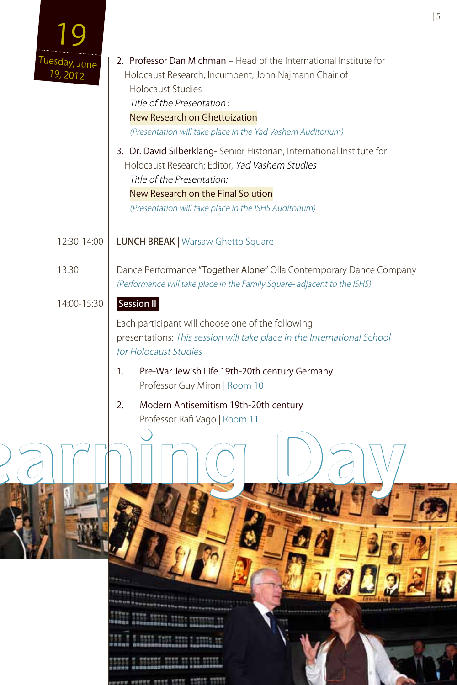|                           |                                                                                                                                                                                                                                                                                                                                                                                                                                                                                      | 5 |
|---------------------------|--------------------------------------------------------------------------------------------------------------------------------------------------------------------------------------------------------------------------------------------------------------------------------------------------------------------------------------------------------------------------------------------------------------------------------------------------------------------------------------|---|
| Tuesday, June<br>19, 2012 | 2. Professor Dan Michman - Head of the International Institute for<br>Holocaust Research; Incumbent, John Najmann Chair of<br><b>Holocaust Studies</b><br>Title of the Presentation:<br>New Research on Ghettoization<br>(Presentation will take place in the Yad Vashem Auditorium)<br>3. Dr. David Silberklang-Senior Historian, International Institute for<br>Holocaust Research; Editor, Yad Vashem Studies<br>Title of the Presentation:<br>New Research on the Final Solution |   |
|                           | (Presentation will take place in the ISHS Auditorium)                                                                                                                                                                                                                                                                                                                                                                                                                                |   |
| 12:30-14:00               | <b>LUNCH BREAK   Warsaw Ghetto Square</b>                                                                                                                                                                                                                                                                                                                                                                                                                                            |   |
| 13:30                     | Dance Performance "Together Alone" Olla Contemporary Dance Company<br>(Performance will take place in the Family Square- adjacent to the ISHS)                                                                                                                                                                                                                                                                                                                                       |   |
| 14:00-15:30               | Session II                                                                                                                                                                                                                                                                                                                                                                                                                                                                           |   |
|                           | Each participant will choose one of the following<br>presentations: This session will take place in the International School<br>for Holocaust Studies                                                                                                                                                                                                                                                                                                                                |   |
|                           | 1.<br>Pre-War Jewish Life 19th-20th century Germany<br>Professor Guy Miron   Room 10                                                                                                                                                                                                                                                                                                                                                                                                 |   |
|                           | Modern Antisemitism 19th-20th century<br>2.<br>Professor Rafi Vago   Room 11                                                                                                                                                                                                                                                                                                                                                                                                         |   |
|                           |                                                                                                                                                                                                                                                                                                                                                                                                                                                                                      |   |
|                           |                                                                                                                                                                                                                                                                                                                                                                                                                                                                                      |   |
|                           | <u>n panasakalang panasakalang pan</u><br>IS SHE WAS SHED BOARN WHO WAS TRANSPORTED<br><u>and we're there are any th</u><br>uunaa sanannoonasaanaa aaseosaasa                                                                                                                                                                                                                                                                                                                        |   |
|                           | HARE Ander same & state of<br>化放放器 网络含金属紫檀酸医香蕉素金属紫檀 美国新华美国新闻社                                                                                                                                                                                                                                                                                                                                                                                                                        |   |
|                           | <b>HENNIS HEED OF ENE HENNE</b><br>e o ses este andormano a perustra                                                                                                                                                                                                                                                                                                                                                                                                                 |   |

www.www.com com come conto child

ï

**MAG**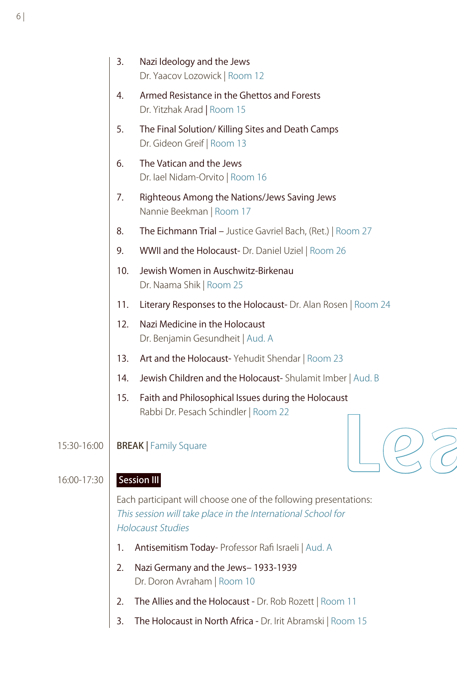|             | 3.  | Nazi Ideology and the Jews<br>Dr. Yaacov Lozowick   Room 12                                                                                                  |
|-------------|-----|--------------------------------------------------------------------------------------------------------------------------------------------------------------|
|             | 4.  | Armed Resistance in the Ghettos and Forests<br>Dr. Yitzhak Arad   Room 15                                                                                    |
|             | 5.  | The Final Solution/Killing Sites and Death Camps<br>Dr. Gideon Greif   Room 13                                                                               |
|             | 6.  | The Vatican and the Jews<br>Dr. lael Nidam-Orvito   Room 16                                                                                                  |
|             | 7.  | Righteous Among the Nations/Jews Saving Jews<br>Nannie Beekman   Room 17                                                                                     |
|             | 8.  | The Eichmann Trial - Justice Gavriel Bach, (Ret.)   Room 27                                                                                                  |
|             | 9.  | WWII and the Holocaust- Dr. Daniel Uziel   Room 26                                                                                                           |
|             | 10. | Jewish Women in Auschwitz-Birkenau<br>Dr. Naama Shik   Room 25                                                                                               |
|             | 11. | Literary Responses to the Holocaust- Dr. Alan Rosen   Room 24                                                                                                |
|             | 12. | Nazi Medicine in the Holocaust<br>Dr. Benjamin Gesundheit   Aud. A                                                                                           |
|             | 13. | Art and the Holocaust-Yehudit Shendar   Room 23                                                                                                              |
|             | 14. | Jewish Children and the Holocaust-Shulamit Imber   Aud. B                                                                                                    |
|             | 15. | Faith and Philosophical Issues during the Holocaust                                                                                                          |
|             |     | Rabbi Dr. Pesach Schindler   Room 22                                                                                                                         |
| 15:30-16:00 |     | <b>BREAK   Family Square</b>                                                                                                                                 |
| 16:00-17:30 |     | <b>Session III</b>                                                                                                                                           |
|             |     | Each participant will choose one of the following presentations:<br>This session will take place in the International School for<br><b>Holocaust Studies</b> |
|             | 1.  | Antisemitism Today- Professor Rafi Israeli   Aud. A                                                                                                          |
|             | 2.  | Nazi Germany and the Jews-1933-1939<br>Dr. Doron Avraham   Room 10                                                                                           |
|             | 2.  | The Allies and the Holocaust - Dr. Rob Rozett   Room 11                                                                                                      |
|             | 3.  | The Holocaust in North Africa - Dr. Irit Abramski   Room 15                                                                                                  |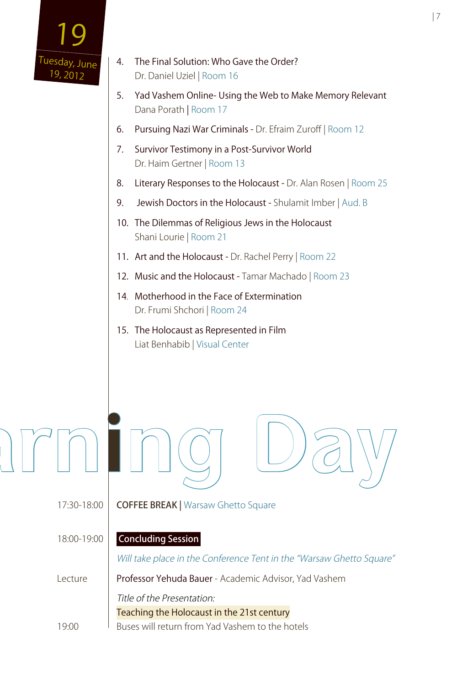

| 7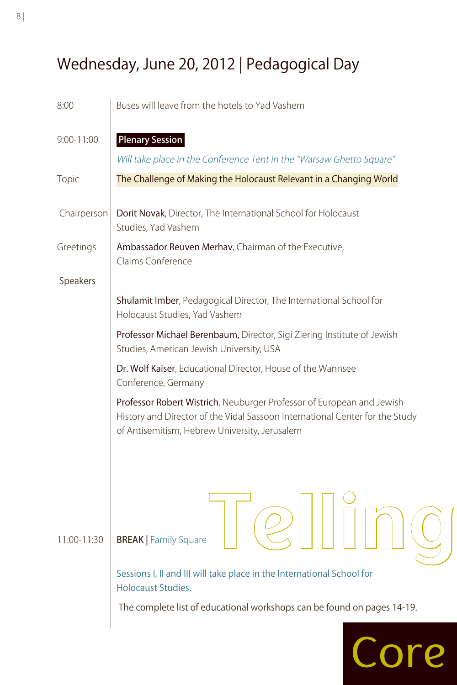## Wednesday, June 20, 2012 | Pedagogical Day

| 8:00           | Buses will leave from the hotels to Yad Vashem                                                                                                                                                         |
|----------------|--------------------------------------------------------------------------------------------------------------------------------------------------------------------------------------------------------|
| $9:00 - 11:00$ | <b>Plenary Session</b>                                                                                                                                                                                 |
|                | Will take place in the Conference Tent in the "Warsaw Ghetto Square"                                                                                                                                   |
| Topic          | The Challenge of Making the Holocaust Relevant in a Changing World                                                                                                                                     |
| Chairperson    | Dorit Novak, Director, The International School for Holocaust<br>Studies, Yad Vashem                                                                                                                   |
| Greetings      | Ambassador Reuven Merhav, Chairman of the Executive,<br>Claims Conference                                                                                                                              |
| Speakers       |                                                                                                                                                                                                        |
|                | Shulamit Imber, Pedagogical Director, The International School for<br>Holocaust Studies, Yad Vashem                                                                                                    |
|                | Professor Michael Berenbaum, Director, Sigi Ziering Institute of Jewish<br>Studies, American Jewish University, USA                                                                                    |
|                | Dr. Wolf Kaiser, Educational Director, House of the Wannsee<br>Conference, Germany                                                                                                                     |
|                | Professor Robert Wistrich, Neuburger Professor of European and Jewish<br>History and Director of the Vidal Sassoon International Center for the Study<br>of Antisemitism, Hebrew University, Jerusalem |
|                |                                                                                                                                                                                                        |
| 11:00-11:30    | <b>BREAK</b>   Family Square                                                                                                                                                                           |
|                | Sessions I, II and III will take place in the International School for<br><b>Holocaust Studies.</b>                                                                                                    |
|                | The complete list of educational workshops can be found on pages 14-19.                                                                                                                                |
|                | Core                                                                                                                                                                                                   |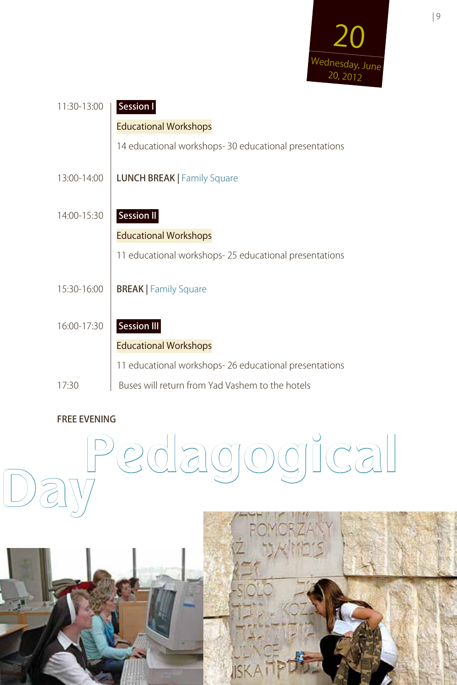

| 11:30-13:00 | <b>Session I</b>                                      |
|-------------|-------------------------------------------------------|
|             | <b>Educational Workshops</b>                          |
|             | 14 educational workshops-30 educational presentations |
| 13:00-14:00 | <b>LUNCH BREAK   Family Square</b>                    |
| 14:00-15:30 | <b>Session II</b>                                     |
|             | <b>Educational Workshops</b>                          |
|             | 11 educational workshops-25 educational presentations |
| 15:30-16:00 | <b>BREAK</b>   Family Square                          |
| 16:00-17:30 | <b>Session III</b>                                    |
|             | <b>Educational Workshops</b>                          |
|             | 11 educational workshops-26 educational presentations |
| 17:30       | Buses will return from Yad Vashem to the hotels       |

#### FREE EVENING

# **Pedagogical Day**



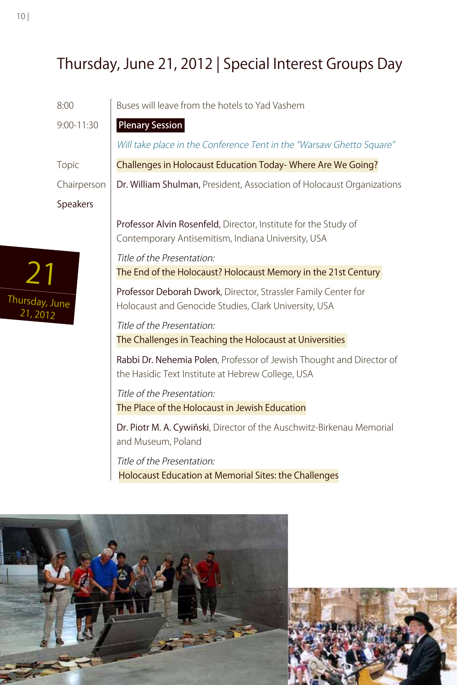## Thursday, June 21, 2012 | Special Interest Groups Day

|                            | 8:00           | Buses will leave from the hotels to Yad Vashem                                                                            |
|----------------------------|----------------|---------------------------------------------------------------------------------------------------------------------------|
|                            | $9:00 - 11:30$ | <b>Plenary Session</b>                                                                                                    |
|                            |                | Will take place in the Conference Tent in the "Warsaw Ghetto Square"                                                      |
|                            | Topic          | Challenges in Holocaust Education Today-Where Are We Going?                                                               |
|                            | Chairperson    | Dr. William Shulman, President, Association of Holocaust Organizations                                                    |
|                            | Speakers       |                                                                                                                           |
|                            |                | Professor Alvin Rosenfeld, Director, Institute for the Study of<br>Contemporary Antisemitism, Indiana University, USA     |
|                            |                | Title of the Presentation:                                                                                                |
|                            |                | The End of the Holocaust? Holocaust Memory in the 21st Century                                                            |
| Thursday, June<br>21, 2012 |                | Professor Deborah Dwork, Director, Strassler Family Center for<br>Holocaust and Genocide Studies, Clark University, USA   |
|                            |                | Title of the Presentation:                                                                                                |
|                            |                | The Challenges in Teaching the Holocaust at Universities                                                                  |
|                            |                | Rabbi Dr. Nehemia Polen, Professor of Jewish Thought and Director of<br>the Hasidic Text Institute at Hebrew College, USA |
|                            |                | Title of the Presentation:                                                                                                |
|                            |                | The Place of the Holocaust in Jewish Education                                                                            |
|                            |                | Dr. Piotr M. A. Cywiñski, Director of the Auschwitz-Birkenau Memorial<br>and Museum, Poland                               |
|                            |                | Title of the Presentation:<br>Holocaust Education at Memorial Sites: the Challenges                                       |



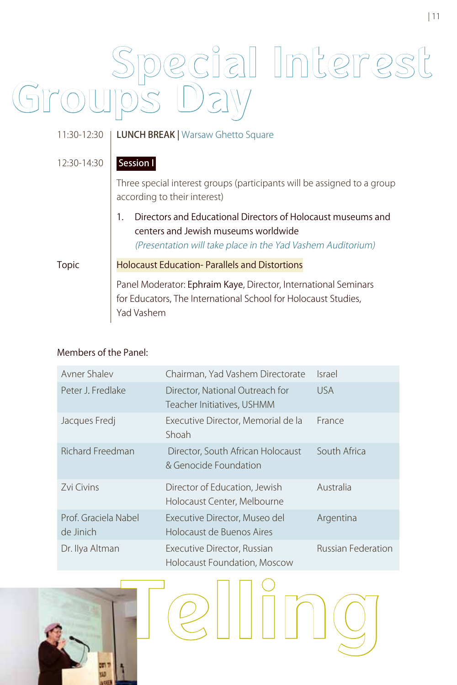# **Special Interest Groups Day**

| 11:30-12:30 | <b>LUNCH BREAK   Warsaw Ghetto Square</b>                                                                                                                           |
|-------------|---------------------------------------------------------------------------------------------------------------------------------------------------------------------|
| 12:30-14:30 | Session I                                                                                                                                                           |
|             | Three special interest groups (participants will be assigned to a group<br>according to their interest)                                                             |
|             | Directors and Educational Directors of Holocaust museums and<br>centers and Jewish museums worldwide<br>(Presentation will take place in the Yad Vashem Auditorium) |
| Topic       | <b>Holocaust Education-Parallels and Distortions</b>                                                                                                                |
|             | Panel Moderator: Ephraim Kaye, Director, International Seminars<br>for Educators, The International School for Holocaust Studies,<br>Yad Vashem                     |

#### Members of the Panel:

| Avner Shalev                      | Chairman, Yad Vashem Directorate                              | <b>Israel</b>             |
|-----------------------------------|---------------------------------------------------------------|---------------------------|
| Peter J. Fredlake                 | Director, National Outreach for<br>Teacher Initiatives, USHMM | <b>USA</b>                |
| Jacques Fredj                     | Executive Director, Memorial de la<br>Shoah                   | France                    |
| <b>Richard Freedman</b>           | Director, South African Holocaust<br>& Genocide Foundation    | South Africa              |
| <b>Zvi Civins</b>                 | Director of Education, Jewish<br>Holocaust Center, Melbourne  | Australia                 |
| Prof. Graciela Nabel<br>de Jinich | Executive Director, Museo del<br>Holocaust de Buenos Aires    | Argentina                 |
| Dr. Ilya Altman                   | Executive Director, Russian<br>Holocaust Foundation, Moscow   | <b>Russian Federation</b> |

**Telling**

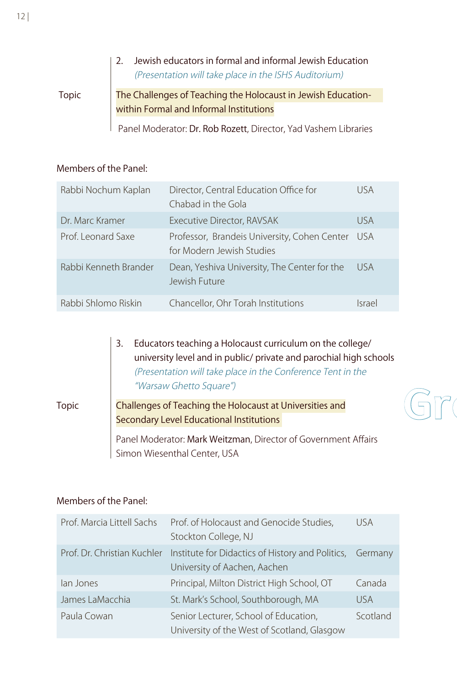#### 2. Jewish educators in formal and informal Jewish Education (Presentation will take place in the ISHS Auditorium) Topic The Challenges of Teaching the Holocaust in Jewish Educationwithin Formal and Informal Institutions Panel Moderator: Dr. Rob Rozett, Director, Yad Vashem Libraries

Members of the Panel:

| Rabbi Nochum Kaplan   | Director, Central Education Office for<br>Chabad in the Gola              | USA        |
|-----------------------|---------------------------------------------------------------------------|------------|
| Dr. Marc Kramer       | Executive Director, RAVSAK                                                | <b>USA</b> |
| Prof. Leonard Saxe    | Professor, Brandeis University, Cohen Center<br>for Modern Jewish Studies | USA.       |
| Rabbi Kenneth Brander | Dean, Yeshiva University, The Center for the<br>Jewish Future             | <b>USA</b> |
| Rabbi Shlomo Riskin   | Chancellor, Ohr Torah Institutions                                        | Israel     |

3. Educators teaching a Holocaust curriculum on the college/ university level and in public/ private and parochial high schools (Presentation will take place in the Conference Tent in the "Warsaw Ghetto Square")

#### Topic Challenges of Teaching the Holocaust at Universities and Secondary Level Educational Institutions



Panel Moderator: Mark Weitzman, Director of Government Affairs Simon Wiesenthal Center, USA

#### Members of the Panel:

| Prof. Marcia Littell Sachs  | Prof. of Holocaust and Genocide Studies,<br>Stockton College, NJ                         | <b>USA</b> |
|-----------------------------|------------------------------------------------------------------------------------------|------------|
| Prof. Dr. Christian Kuchler | Institute for Didactics of History and Politics, Germany<br>University of Aachen, Aachen |            |
| lan Jones                   | Principal, Milton District High School, OT                                               | Canada     |
| James LaMacchia             | St. Mark's School, Southborough, MA                                                      | <b>USA</b> |
| Paula Cowan                 | Senior Lecturer, School of Education,<br>University of the West of Scotland, Glasgow     | Scotland   |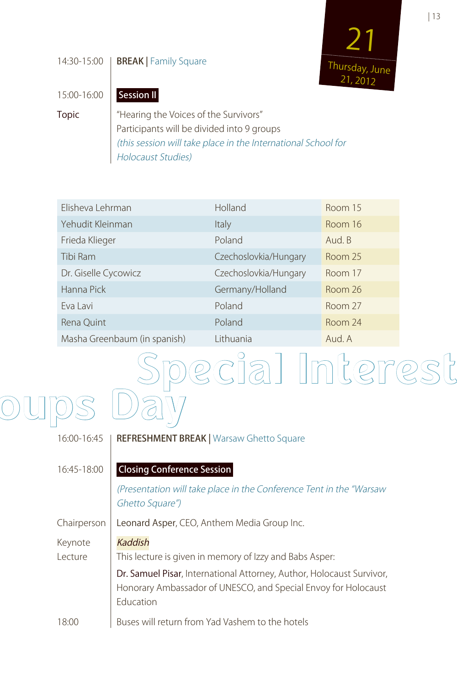#### 14:30-15:00 | **BREAK** | Family Square



15:00-16:00 **Session II** 

Topic | "Hearing the Voices of the Survivors" Participants will be divided into 9 groups (this session will take place in the International School for

Holocaust Studies)

| Elisheva Lehrman             | Holland               | Room 15 |
|------------------------------|-----------------------|---------|
| Yehudit Kleinman             | Italy                 | Room 16 |
| Frieda Klieger               | Poland                | Aud. B  |
| Tibi Ram                     | Czechoslovkia/Hungary | Room 25 |
| Dr. Giselle Cycowicz         | Czechoslovkia/Hungary | Room 17 |
| Hanna Pick                   | Germany/Holland       | Room 26 |
| Eva Lavi                     | Poland                | Room 27 |
| Rena Quint                   | Poland                | Room 24 |
| Masha Greenbaum (in spanish) | Lithuania             | Aud. A  |

# **Special Interest Groups Day**

### 16:00-16:45 | REFRESHMENT BREAK | Warsaw Ghetto Square 16:45-18:00 | Closing Conference Session (Presentation will take place in the Conference Tent in the "Warsaw Ghetto Square") Chairperson | Leonard Asper, CEO, Anthem Media Group Inc. Keynote | Kaddish Lecture | This lecture is given in memory of Izzy and Babs Asper: Dr. Samuel Pisar, International Attorney, Author, Holocaust Survivor, Honorary Ambassador of UNESCO, and Special Envoy for Holocaust Education 18:00 Buses will return from Yad Vashem to the hotels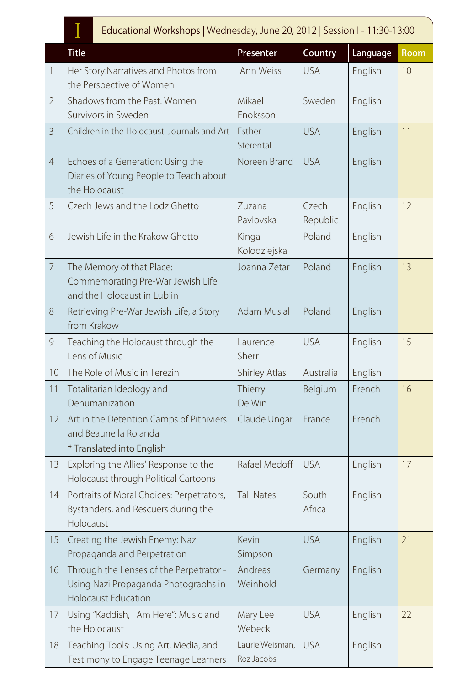### I Educational Workshops | Wednesday, June 20, 2012 | Session I - 11:30-13:00

|                | <b>Luucational Workshops   Wednesday, June 20, 2012   Jession F - FT. JUDE 20</b>                             |                               |                   |          |      |  |
|----------------|---------------------------------------------------------------------------------------------------------------|-------------------------------|-------------------|----------|------|--|
|                | <b>Title</b>                                                                                                  | Presenter                     | Country           | Language | Room |  |
| $\mathbf{1}$   | Her Story: Narratives and Photos from<br>the Perspective of Women                                             | Ann Weiss                     | <b>USA</b>        | English  | 10   |  |
| $\overline{2}$ | Shadows from the Past: Women<br>Survivors in Sweden                                                           | Mikael<br>Enoksson            | Sweden            | English  |      |  |
| $\overline{3}$ | Children in the Holocaust: Journals and Art                                                                   | Esther<br>Sterental           | <b>USA</b>        | English  | 11   |  |
| $\overline{4}$ | Echoes of a Generation: Using the<br>Diaries of Young People to Teach about<br>the Holocaust                  | Noreen Brand                  | <b>USA</b>        | English  |      |  |
| 5              | Czech Jews and the Lodz Ghetto                                                                                | Zuzana<br>Pavlovska           | Czech<br>Republic | English  | 12   |  |
| 6              | Jewish Life in the Krakow Ghetto                                                                              | Kinga<br>Kolodziejska         | Poland            | English  |      |  |
| $\overline{7}$ | The Memory of that Place:<br>Commemorating Pre-War Jewish Life<br>and the Holocaust in Lublin                 | Joanna Zetar                  | Poland            | English  | 13   |  |
| 8              | Retrieving Pre-War Jewish Life, a Story<br>from Krakow                                                        | <b>Adam Musial</b>            | Poland            | English  |      |  |
| 9              | Teaching the Holocaust through the<br>Lens of Music                                                           | Laurence<br>Sherr             | <b>USA</b>        | English  | 15   |  |
| 10             | The Role of Music in Terezin                                                                                  | Shirley Atlas                 | Australia         | English  |      |  |
| 11             | Totalitarian Ideology and<br>Dehumanization                                                                   | Thierry<br>De Win             | Belgium           | French   | 16   |  |
| 12             | Art in the Detention Camps of Pithiviers<br>and Beaune la Rolanda<br>* Translated into English                | Claude Ungar                  | France            | French   |      |  |
| 13             | Exploring the Allies' Response to the<br>Holocaust through Political Cartoons                                 | Rafael Medoff                 | <b>USA</b>        | English  | 17   |  |
| 14             | Portraits of Moral Choices: Perpetrators,<br>Bystanders, and Rescuers during the<br>Holocaust                 | <b>Tali Nates</b>             | South<br>Africa   | English  |      |  |
| 15             | Creating the Jewish Enemy: Nazi<br>Propaganda and Perpetration                                                | Kevin<br>Simpson              | <b>USA</b>        | English  | 21   |  |
| 16             | Through the Lenses of the Perpetrator -<br>Using Nazi Propaganda Photographs in<br><b>Holocaust Education</b> | Andreas<br>Weinhold           | Germany           | English  |      |  |
| 17             | Using "Kaddish, I Am Here": Music and<br>the Holocaust                                                        | Mary Lee<br>Webeck            | <b>USA</b>        | English  | 22   |  |
| 18             | Teaching Tools: Using Art, Media, and<br>Testimony to Engage Teenage Learners                                 | Laurie Weisman,<br>Roz Jacobs | <b>USA</b>        | English  |      |  |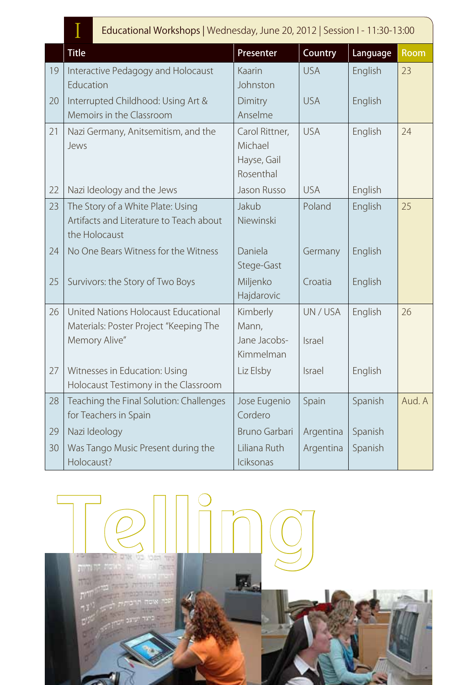|    | Educational Workshops   Wednesday, June 20, 2012   Session I - 11:30-13:00                      |                                                       |                  |          |             |
|----|-------------------------------------------------------------------------------------------------|-------------------------------------------------------|------------------|----------|-------------|
|    | <b>Title</b>                                                                                    | Presenter                                             | Country          | Language | <b>Room</b> |
| 19 | Interactive Pedagogy and Holocaust<br>Education                                                 | Kaarin<br>Johnston                                    | <b>USA</b>       | English  | 23          |
| 20 | Interrupted Childhood: Using Art &<br>Memoirs in the Classroom                                  | Dimitry<br>Anselme                                    | <b>USA</b>       | English  |             |
| 21 | Nazi Germany, Anitsemitism, and the<br>Jews                                                     | Carol Rittner,<br>Michael<br>Hayse, Gail<br>Rosenthal | <b>USA</b>       | English  | 24          |
| 22 | Nazi Ideology and the Jews                                                                      | Jason Russo                                           | <b>USA</b>       | English  |             |
| 23 | The Story of a White Plate: Using<br>Artifacts and Literature to Teach about<br>the Holocaust   | Jakub<br>Niewinski                                    | Poland           | English  | 25          |
| 24 | No One Bears Witness for the Witness                                                            | Daniela<br>Stege-Gast                                 | Germany          | English  |             |
| 25 | Survivors: the Story of Two Boys                                                                | Miljenko<br>Hajdarovic                                | Croatia          | English  |             |
| 26 | United Nations Holocaust Educational<br>Materials: Poster Project "Keeping The<br>Memory Alive" | Kimberly<br>Mann,<br>Jane Jacobs-                     | UN/USA<br>Israel | English  | 26          |
| 27 | Witnesses in Education: Using<br>Holocaust Testimony in the Classroom                           | Kimmelman<br>Liz Elsby                                | <b>Israel</b>    | English  |             |

Jose Eugenio Cordero

Liliana Ruth Iciksonas

29 Nazi Ideology Bruno Garbari Argentina Spanish

**Telling**

Spain Spanish Aud. A

Argentina  $\vert$  Spanish

28 Teaching the Final Solution: Challenges

30 Was Tango Music Present during the

for Teachers in Spain

Holocaust?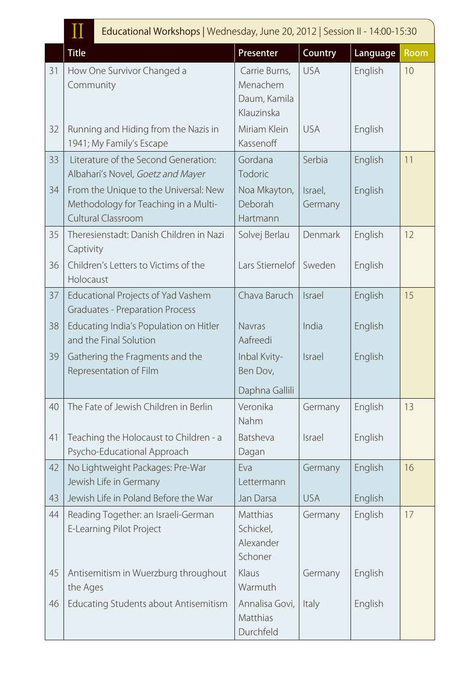|  | Educational Workshops   Wednesday, June 20, 2012   Session II - 14:00-15:30 |  |  |
|--|-----------------------------------------------------------------------------|--|--|
|--|-----------------------------------------------------------------------------|--|--|

|    | TT<br><b>Lautational Workshops</b>   Wednesday, June 20, 2012   Jession in Theory 19:50                    |                                                         |                    |          |      |
|----|------------------------------------------------------------------------------------------------------------|---------------------------------------------------------|--------------------|----------|------|
|    | <b>Title</b>                                                                                               | Presenter                                               | Country            | Language | Room |
| 31 | How One Survivor Changed a<br>Community                                                                    | Carrie Burns,<br>Menachem<br>Daum, Kamila<br>Klauzinska | <b>USA</b>         | English  | 10   |
| 32 | Running and Hiding from the Nazis in<br>1941; My Family's Escape                                           | Miriam Klein<br>Kassenoff                               | <b>USA</b>         | English  |      |
| 33 | Literature of the Second Generation:<br>Albahari's Novel, Goetz and Mayer                                  | Gordana<br>Todoric                                      | Serbia             | English  | 11   |
| 34 | From the Unique to the Universal: New<br>Methodology for Teaching in a Multi-<br><b>Cultural Classroom</b> | Noa Mkayton,<br>Deborah<br>Hartmann                     | Israel,<br>Germany | English  |      |
| 35 | Theresienstadt: Danish Children in Nazi<br>Captivity                                                       | Solvej Berlau                                           | Denmark            | English  | 12   |
| 36 | Children's Letters to Victims of the<br>Holocaust                                                          | Lars Stiernelof                                         | Sweden             | English  |      |
| 37 | Educational Projects of Yad Vashem<br><b>Graduates - Preparation Process</b>                               | Chava Baruch                                            | Israel             | English  | 15   |
| 38 | Educating India's Population on Hitler<br>and the Final Solution                                           | <b>Navras</b><br>Aafreedi                               | India              | English  |      |
| 39 | Gathering the Fragments and the<br>Representation of Film                                                  | Inbal Kvity-<br>Ben Dov,<br>Daphna Gallili              | Israel             | English  |      |
| 40 | The Fate of Jewish Children in Berlin                                                                      | Veronika<br>Nahm                                        | Germany            | English  | 13   |
| 41 | Teaching the Holocaust to Children - a<br>Psycho-Educational Approach                                      | Batsheva<br>Dagan                                       | <b>Israel</b>      | English  |      |
| 42 | No Lightweight Packages: Pre-War<br>Jewish Life in Germany                                                 | Eva<br>Lettermann                                       | Germany            | English  | 16   |
| 43 | Jewish Life in Poland Before the War                                                                       | Jan Darsa                                               | <b>USA</b>         | English  |      |
| 44 | Reading Together: an Israeli-German<br>E-Learning Pilot Project                                            | Matthias<br>Schickel,<br>Alexander<br>Schoner           | Germany            | English  | 17   |
| 45 | Antisemitism in Wuerzburg throughout<br>the Ages                                                           | Klaus<br>Warmuth                                        | Germany            | English  |      |
| 46 | Educating Students about Antisemitism                                                                      | Annalisa Govi,<br>Matthias<br>Durchfeld                 | Italy              | English  |      |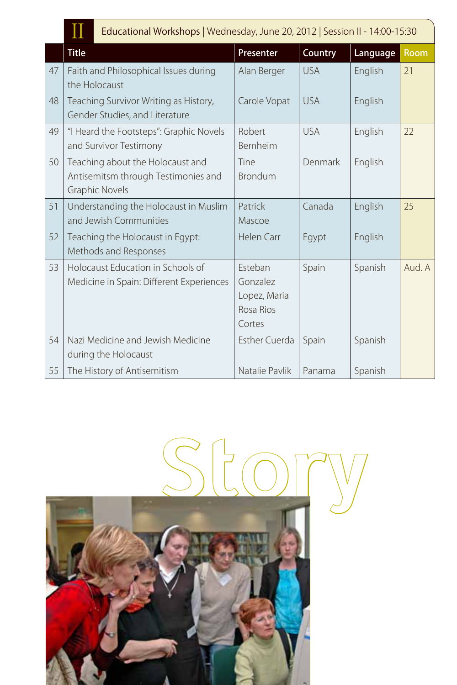|    | Ш<br>Educational Workshops   Wednesday, June 20, 2012   Session II - 14:00-15:30                 |                                                            |            |          |             |
|----|--------------------------------------------------------------------------------------------------|------------------------------------------------------------|------------|----------|-------------|
|    | <b>Title</b>                                                                                     | Presenter                                                  | Country    | Language | <b>Room</b> |
| 47 | Faith and Philosophical Issues during<br>the Holocaust                                           | Alan Berger                                                | <b>USA</b> | English  | 21          |
| 48 | Teaching Survivor Writing as History,<br>Gender Studies, and Literature                          | Carole Vopat                                               | <b>USA</b> | English  |             |
| 49 | "I Heard the Footsteps": Graphic Novels<br>and Survivor Testimony                                | Robert<br>Bernheim                                         | <b>USA</b> | English  | 22          |
| 50 | Teaching about the Holocaust and<br>Antisemitsm through Testimonies and<br><b>Graphic Novels</b> | Tine<br><b>Brondum</b>                                     | Denmark    | English  |             |
| 51 | Understanding the Holocaust in Muslim<br>and Jewish Communities                                  | Patrick<br>Mascoe                                          | Canada     | English  | 25          |
| 52 | Teaching the Holocaust in Egypt:<br>Methods and Responses                                        | <b>Helen Carr</b>                                          | Egypt      | English  |             |
| 53 | Holocaust Education in Schools of<br>Medicine in Spain: Different Experiences                    | Esteban<br>Gonzalez<br>Lopez, Maria<br>Rosa Rios<br>Cortes | Spain      | Spanish  | Aud. A      |
| 54 | Nazi Medicine and Jewish Medicine<br>during the Holocaust                                        | <b>Esther Cuerda</b>                                       | Spain      | Spanish  |             |
| 55 | The History of Antisemitism                                                                      | Natalie Pavlik                                             | Panama     | Spanish  |             |

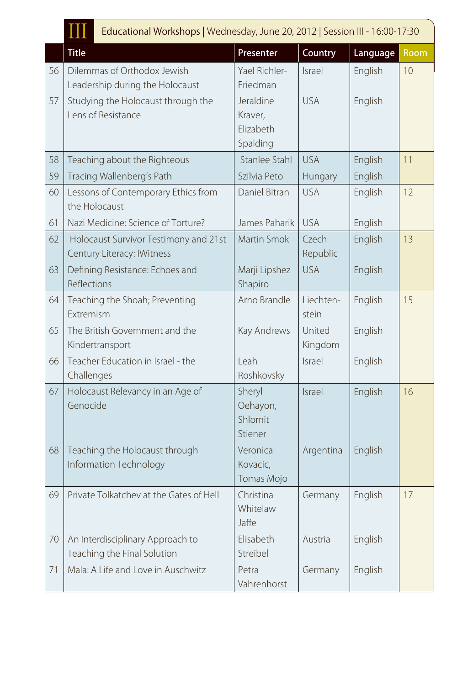|    | Educational Workshops   Wednesday, June 20, 2012   Session III - 16:00-17:30 |                                               |                    |          |      |
|----|------------------------------------------------------------------------------|-----------------------------------------------|--------------------|----------|------|
|    | <b>Title</b>                                                                 | Presenter                                     | Country            | Language | Room |
| 56 | Dilemmas of Orthodox Jewish<br>Leadership during the Holocaust               | Yael Richler-<br>Friedman                     | Israel             | English  | 10   |
| 57 | Studying the Holocaust through the<br>Lens of Resistance                     | Jeraldine<br>Kraver,<br>Elizabeth<br>Spalding | <b>USA</b>         | English  |      |
| 58 | Teaching about the Righteous                                                 | Stanlee Stahl                                 | <b>USA</b>         | English  | 11   |
| 59 | Tracing Wallenberg's Path                                                    | Szilvia Peto                                  | Hungary            | English  |      |
| 60 | Lessons of Contemporary Ethics from<br>the Holocaust                         | Daniel Bitran                                 | <b>USA</b>         | English  | 12   |
| 61 | Nazi Medicine: Science of Torture?                                           | James Paharik                                 | <b>USA</b>         | English  |      |
| 62 | Holocaust Survivor Testimony and 21st<br>Century Literacy: IWitness          | Martin Smok                                   | Czech<br>Republic  | English  | 13   |
| 63 | Defining Resistance: Echoes and<br>Reflections                               | Marji Lipshez<br>Shapiro                      | <b>USA</b>         | English  |      |
| 64 | Teaching the Shoah; Preventing<br>Extremism                                  | Arno Brandle                                  | Liechten-<br>stein | English  | 15   |
| 65 | The British Government and the<br>Kindertransport                            | Kay Andrews                                   | United<br>Kingdom  | English  |      |
| 66 | Teacher Education in Israel - the<br>Challenges                              | Leah<br>Roshkovsky                            | Israel             | English  |      |
| 67 | Holocaust Relevancy in an Age of<br>Genocide                                 | Sheryl<br>Oehayon,<br>Shlomit<br>Stiener      | Israel             | English  | 16   |
| 68 | Teaching the Holocaust through<br>Information Technology                     | Veronica<br>Kovacic,<br>Tomas Mojo            | Argentina          | English  |      |
| 69 | Private Tolkatchev at the Gates of Hell                                      | Christina<br>Whitelaw<br>Jaffe                | Germany            | English  | 17   |
| 70 | An Interdisciplinary Approach to<br>Teaching the Final Solution              | Elisabeth<br>Streibel                         | Austria            | English  |      |
| 71 | Mala: A Life and Love in Auschwitz                                           | Petra<br>Vahrenhorst                          | Germany            | English  |      |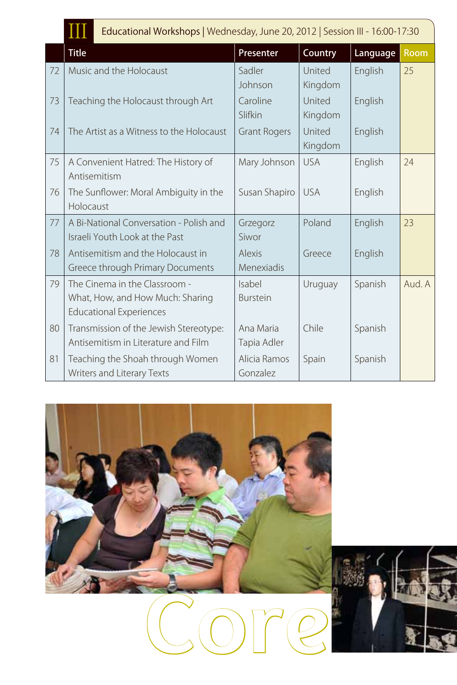|  |  | Educational Workshops   Wednesday, June 20, 2012   Session III - 16:00-17:30 |  |
|--|--|------------------------------------------------------------------------------|--|
|--|--|------------------------------------------------------------------------------|--|

|    | TTT                                      |                     |            |          |             |
|----|------------------------------------------|---------------------|------------|----------|-------------|
|    | <b>Title</b>                             | Presenter           | Country    | Language | <b>Room</b> |
| 72 | Music and the Holocaust                  | Sadler              | United     | English  | 25          |
|    |                                          | Johnson             | Kingdom    |          |             |
| 73 | Teaching the Holocaust through Art       | Caroline            | United     | English  |             |
|    |                                          | Slifkin             | Kingdom    |          |             |
| 74 | The Artist as a Witness to the Holocaust | <b>Grant Rogers</b> | United     | English  |             |
|    |                                          |                     | Kingdom    |          |             |
| 75 | A Convenient Hatred: The History of      | Mary Johnson        | <b>USA</b> | English  | 24          |
|    | Antisemitism                             |                     |            |          |             |
| 76 | The Sunflower: Moral Ambiguity in the    | Susan Shapiro       | <b>USA</b> | English  |             |
|    | Holocaust                                |                     |            |          |             |
| 77 | A Bi-National Conversation - Polish and  | Grzegorz            | Poland     | English  | 23          |
|    | Israeli Youth Look at the Past           | Siwor               |            |          |             |
| 78 | Antisemitism and the Holocaust in        | <b>Alexis</b>       | Greece     | English  |             |
|    | Greece through Primary Documents         | Menexiadis          |            |          |             |
| 79 | The Cinema in the Classroom -            | Isabel              | Uruguay    | Spanish  | Aud. A      |
|    | What, How, and How Much: Sharing         | <b>Burstein</b>     |            |          |             |
|    | <b>Educational Experiences</b>           |                     |            |          |             |
| 80 | Transmission of the Jewish Stereotype:   | Ana Maria           | Chile      | Spanish  |             |
|    | Antisemitism in Literature and Film      | Tapia Adler         |            |          |             |
| 81 | Teaching the Shoah through Women         | Alicia Ramos        | Spain      | Spanish  |             |
|    | Writers and Literary Texts               | Gonzalez            |            |          |             |